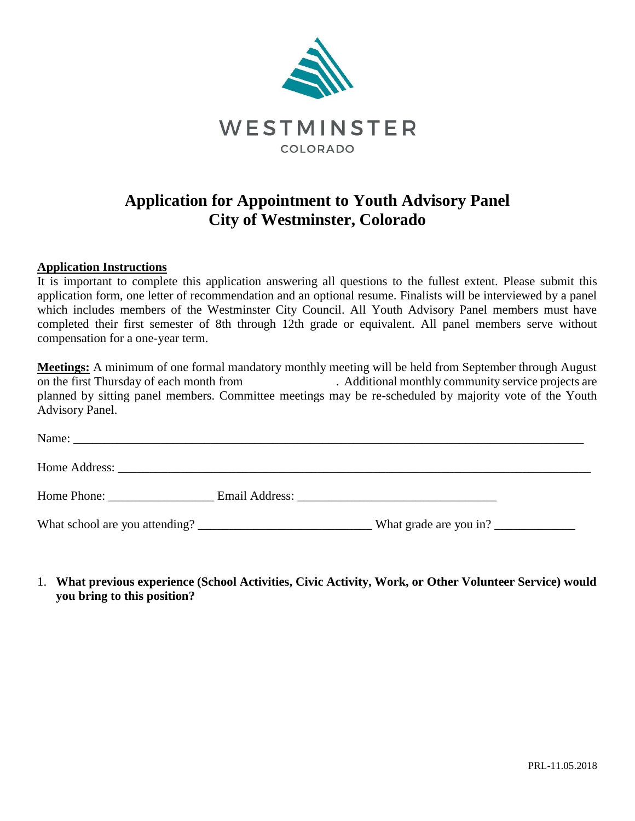

## **Application for Appointment to Youth Advisory Panel City of Westminster, Colorado**

## **Application Instructions**

It is important to complete this application answering all questions to the fullest extent. Please submit this application form, one letter of recommendation and an optional resume. Finalists will be interviewed by a panel which includes members of the Westminster City Council. All Youth Advisory Panel members must have completed their first semester of 8th through 12th grade or equivalent. All panel members serve without compensation for a one-year term.

**Meetings:** A minimum of one formal mandatory monthly meeting will be held from September through August on the first Thursday of each month from . Additional monthly community service projects are planned by sitting panel members. Committee meetings may be re-scheduled by majority vote of the Youth Advisory Panel.

| Home Address: New York Changes and Security and Security and Security and Security and Security and Security and Security and Security and Security and Security and Security and Security and Security and Security and Secur |                        |  |
|--------------------------------------------------------------------------------------------------------------------------------------------------------------------------------------------------------------------------------|------------------------|--|
|                                                                                                                                                                                                                                |                        |  |
|                                                                                                                                                                                                                                | What grade are you in? |  |

1. **What previous experience (School Activities, Civic Activity, Work, or Other Volunteer Service) would you bring to this position?**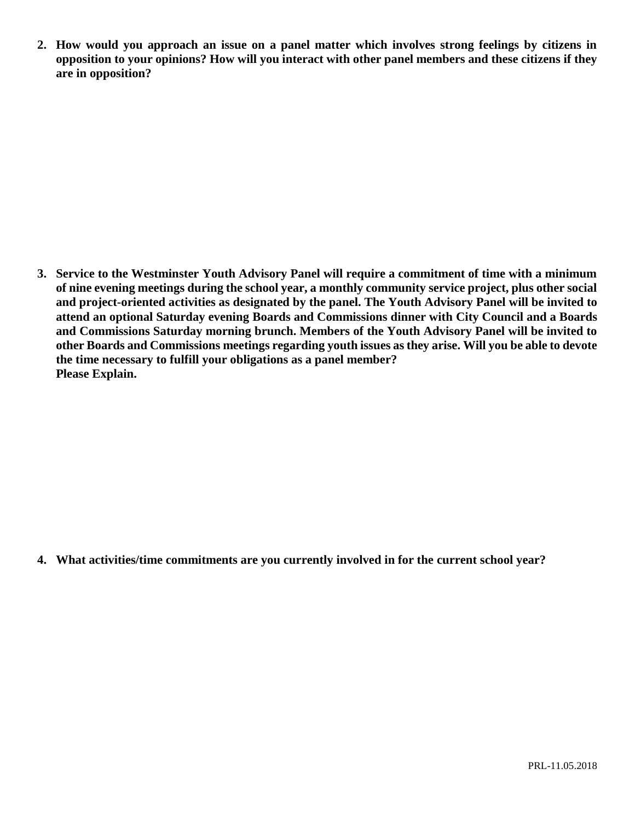**2. How would you approach an issue on a panel matter which involves strong feelings by citizens in opposition to your opinions? How will you interact with other panel members and these citizens if they are in opposition?**

**3. Service to the Westminster Youth Advisory Panel will require a commitment of time with a minimum of nine evening meetings during the school year, a monthly community service project, plus other social and project-oriented activities as designated by the panel. The Youth Advisory Panel will be invited to attend an optional Saturday evening Boards and Commissions dinner with City Council and a Boards and Commissions Saturday morning brunch. Members of the Youth Advisory Panel will be invited to other Boards and Commissions meetings regarding youth issues as they arise. Will you be able to devote the time necessary to fulfill your obligations as a panel member? Please Explain.**

**4. What activities/time commitments are you currently involved in for the current school year?**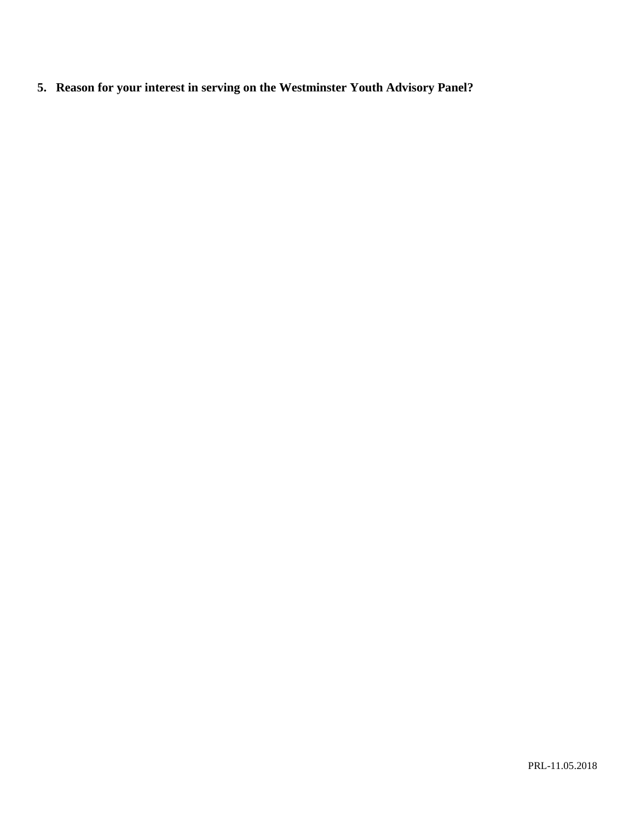**5. Reason for your interest in serving on the Westminster Youth Advisory Panel?**